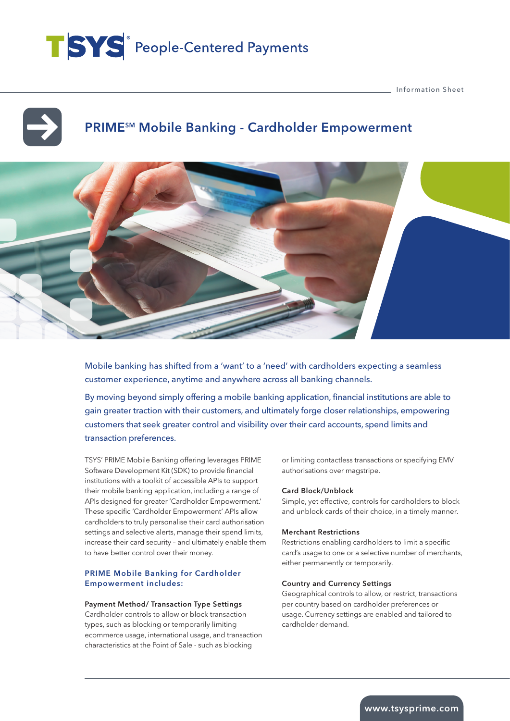# TSYS<sup>®</sup> People-Centered Payments

Information Sheet

## PRIME<sup>SM</sup> Mobile Banking - Cardholder Empowerment



Mobile banking has shifted from a 'want' to a 'need' with cardholders expecting a seamless customer experience, anytime and anywhere across all banking channels.

By moving beyond simply offering a mobile banking application, financial institutions are able to gain greater traction with their customers, and ultimately forge closer relationships, empowering customers that seek greater control and visibility over their card accounts, spend limits and transaction preferences.

TSYS' PRIME Mobile Banking offering leverages PRIME Software Development Kit (SDK) to provide financial institutions with a toolkit of accessible APIs to support their mobile banking application, including a range of APIs designed for greater 'Cardholder Empowerment.' These specific 'Cardholder Empowerment' APIs allow cardholders to truly personalise their card authorisation settings and selective alerts, manage their spend limits, increase their card security – and ultimately enable them to have better control over their money.

#### PRIME Mobile Banking for Cardholder Empowerment includes:

#### Payment Method/ Transaction Type Settings

Cardholder controls to allow or block transaction types, such as blocking or temporarily limiting ecommerce usage, international usage, and transaction characteristics at the Point of Sale - such as blocking

or limiting contactless transactions or specifying EMV authorisations over magstripe.

#### Card Block/Unblock

Simple, yet effective, controls for cardholders to block and unblock cards of their choice, in a timely manner.

#### Merchant Restrictions

Restrictions enabling cardholders to limit a specific card's usage to one or a selective number of merchants, either permanently or temporarily.

#### Country and Currency Settings

Geographical controls to allow, or restrict, transactions per country based on cardholder preferences or usage. Currency settings are enabled and tailored to cardholder demand.